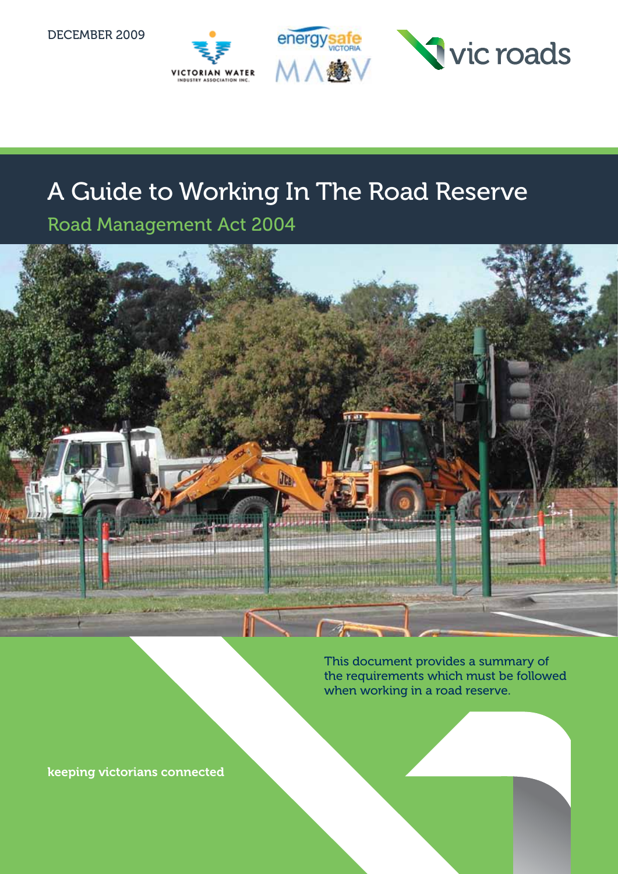December 2009







# A Guide to Working In The Road Reserve

Road Management Act 2004



This document provides a summary of the requirements which must be followed when working in a road reserve.

keeping victorians connected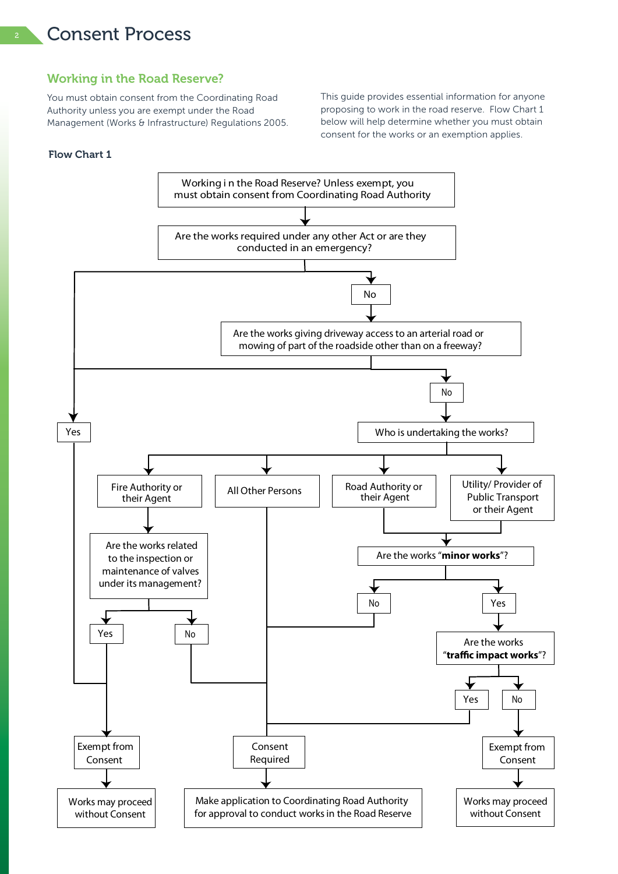### <sup>2</sup> Consent Process

### Working in the Road Reserve?

You must obtain consent from the Coordinating Road Authority unless you are exempt under the Road Management (Works & Infrastructure) Regulations 2005. This guide provides essential information for anyone proposing to work in the road reserve. Flow Chart 1 below will help determine whether you must obtain consent for the works or an exemption applies.

### Flow Chart 1

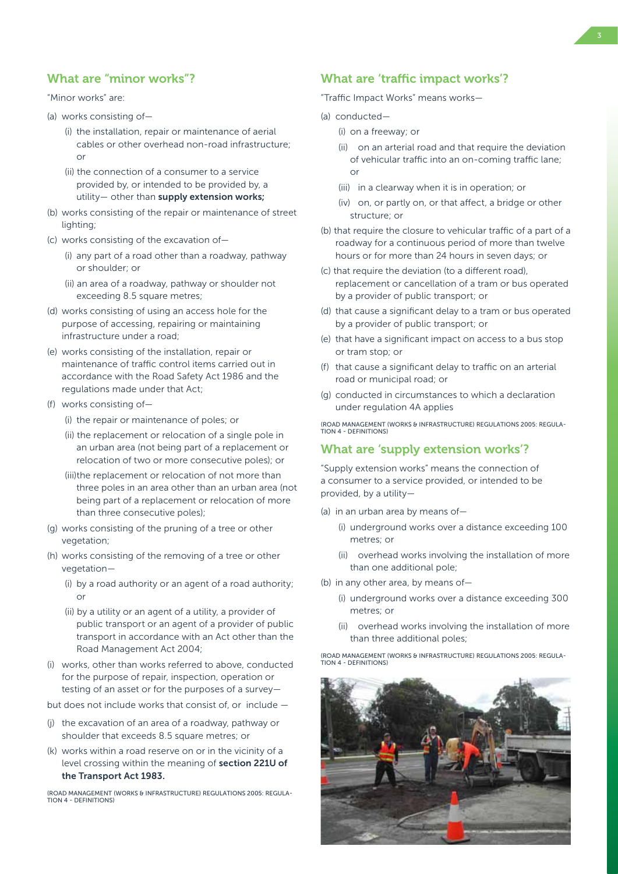### "Minor works" are:

- (a) works consisting of—
	- (i) the installation, repair or maintenance of aerial cables or other overhead non-road infrastructure;  $\bigcap$
	- (ii) the connection of a consumer to a service provided by, or intended to be provided by, a utility- other than supply extension works;
- (b) works consisting of the repair or maintenance of street lighting;
- (c) works consisting of the excavation of—
	- (i) any part of a road other than a roadway, pathway or shoulder; or
	- (ii) an area of a roadway, pathway or shoulder not exceeding 8.5 square metres;
- (d) works consisting of using an access hole for the purpose of accessing, repairing or maintaining infrastructure under a road;
- (e) works consisting of the installation, repair or maintenance of traffic control items carried out in accordance with the Road Safety Act 1986 and the regulations made under that Act;
- (f) works consisting of—
	- (i) the repair or maintenance of poles; or
	- (ii) the replacement or relocation of a single pole in an urban area (not being part of a replacement or relocation of two or more consecutive poles); or
	- (iii)the replacement or relocation of not more than three poles in an area other than an urban area (not being part of a replacement or relocation of more than three consecutive poles);
- (g) works consisting of the pruning of a tree or other vegetation;
- (h) works consisting of the removing of a tree or other vegetation—
	- (i) by a road authority or an agent of a road authority; or
	- (ii) by a utility or an agent of a utility, a provider of public transport or an agent of a provider of public transport in accordance with an Act other than the Road Management Act 2004;
- (i) works, other than works referred to above, conducted for the purpose of repair, inspection, operation or testing of an asset or for the purposes of a survey—

but does not include works that consist of, or include —

- (j) the excavation of an area of a roadway, pathway or shoulder that exceeds 8.5 square metres; or
- (k) works within a road reserve on or in the vicinity of a level crossing within the meaning of section 221U of the Transport Act 1983.

(Road Management (Works & Infrastructure) Regulations 2005: Regula- $TION A - DFEINITIONS$ 

### What are 'traffic impact works'?

"Traffic Impact Works" means works—

- (a) conducted—
	- (i) on a freeway; or
	- (ii) on an arterial road and that require the deviation of vehicular traffic into an on-coming traffic lane; or
	- (iii) in a clearway when it is in operation; or
	- (iv) on, or partly on, or that affect, a bridge or other structure; or
- (b) that require the closure to vehicular traffic of a part of a roadway for a continuous period of more than twelve hours or for more than 24 hours in seven days; or
- (c) that require the deviation (to a different road), replacement or cancellation of a tram or bus operated by a provider of public transport; or
- (d) that cause a significant delay to a tram or bus operated by a provider of public transport; or
- (e) that have a significant impact on access to a bus stop or tram stop; or
- (f) that cause a significant delay to traffic on an arterial road or municipal road; or
- (g) conducted in circumstances to which a declaration under regulation 4A applies

(Road Management (Works & Infrastructure) Regulations 2005: Regulation 4 - Definitions)

### What are 'supply extension works'?

"Supply extension works" means the connection of a consumer to a service provided, or intended to be provided, by a utility—

- (a) in an urban area by means of—
	- (i) underground works over a distance exceeding 100 metres; or
	- (ii) overhead works involving the installation of more than one additional pole;
- (b) in any other area, by means of—
	- (i) underground works over a distance exceeding 300 metres; or
	- (ii) overhead works involving the installation of more than three additional poles;

(Road Management (Works & Infrastructure) Regulations 2005: Regulation 4 - Definitions)

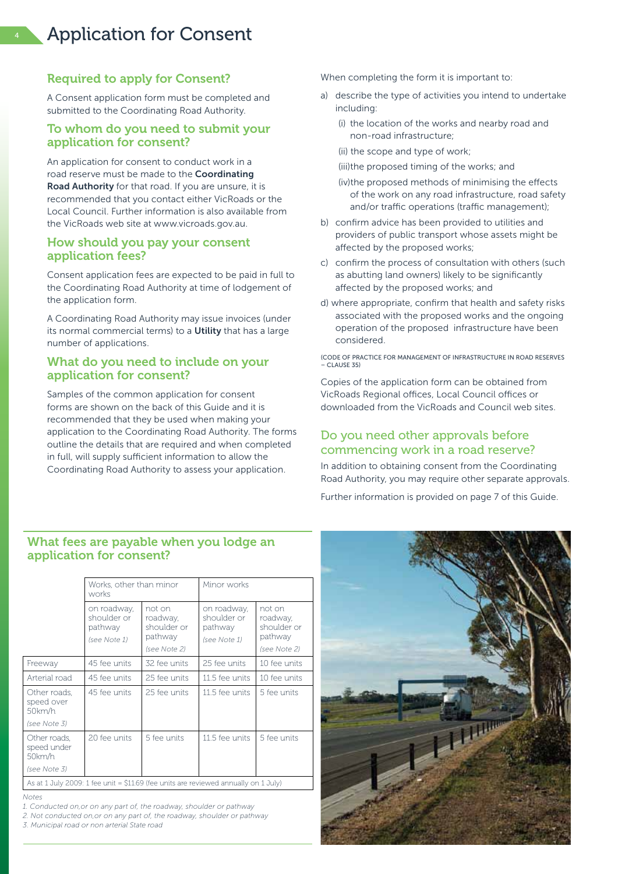### Required to apply for Consent?

A Consent application form must be completed and submitted to the Coordinating Road Authority.

### To whom do you need to submit your application for consent?

An application for consent to conduct work in a road reserve must be made to the **Coordinating** Road Authority for that road. If you are unsure, it is recommended that you contact either VicRoads or the Local Council. Further information is also available from the VicRoads web site at www.vicroads.gov.au.

### How should you pay your consent application fees?

Consent application fees are expected to be paid in full to the Coordinating Road Authority at time of lodgement of the application form.

A Coordinating Road Authority may issue invoices (under its normal commercial terms) to a Utility that has a large number of applications.

### What do you need to include on your application for consent?

Samples of the common application for consent forms are shown on the back of this Guide and it is recommended that they be used when making your application to the Coordinating Road Authority. The forms outline the details that are required and when completed in full, will supply sufficient information to allow the Coordinating Road Authority to assess your application.

When completing the form it is important to:

- a) describe the type of activities you intend to undertake including:
	- (i) the location of the works and nearby road and non-road infrastructure;
	- (ii) the scope and type of work;
	- (iii)the proposed timing of the works; and
	- (iv)the proposed methods of minimising the effects of the work on any road infrastructure, road safety and/or traffic operations (traffic management);
- b) confirm advice has been provided to utilities and providers of public transport whose assets might be affected by the proposed works;
- c) confirm the process of consultation with others (such as abutting land owners) likely to be significantly affected by the proposed works; and
- d) where appropriate, confirm that health and safety risks associated with the proposed works and the ongoing operation of the proposed infrastructure have been considered.

(Code of Practice for Management of Infrastructure in Road Reserves – Clause 35)

Copies of the application form can be obtained from VicRoads Regional offices, Local Council offices or downloaded from the VicRoads and Council web sites.

### Do you need other approvals before commencing work in a road reserve?

In addition to obtaining consent from the Coordinating Road Authority, you may require other separate approvals.

Further information is provided on page 7 of this Guide.

### What fees are payable when you lodge an application for consent?

|                                         | Works, other than minor<br>works                                                     |                                                              | Minor works                                           |                                                              |
|-----------------------------------------|--------------------------------------------------------------------------------------|--------------------------------------------------------------|-------------------------------------------------------|--------------------------------------------------------------|
|                                         | on roadway,<br>shoulder or<br>pathway<br>(see Note 1)                                | not on<br>roadway,<br>shoulder or<br>pathway<br>(see Note 2) | on roadway,<br>shoulder or<br>pathway<br>(see Note 1) | not on<br>roadway,<br>shoulder or<br>pathway<br>(see Note 2) |
| Freeway                                 | 45 fee units                                                                         | 32 fee units                                                 | 25 fee units                                          | 10 fee units                                                 |
| Arterial road                           | 45 fee units                                                                         | 25 fee units                                                 | 11.5 fee units                                        | 10 fee units                                                 |
| Other roads.<br>speed over<br>$50$ km/h | 45 fee units                                                                         | 25 fee units                                                 | 11.5 fee units                                        | 5 fee units                                                  |
| (see Note 3)                            |                                                                                      |                                                              |                                                       |                                                              |
| Other roads,<br>speed under<br>50km/h   | 20 fee units                                                                         | 5 fee units                                                  | 11.5 fee units                                        | 5 fee units                                                  |
| (see Note 3)                            |                                                                                      |                                                              |                                                       |                                                              |
|                                         | As at 1 July 2009: 1 fee unit = $$11.69$ (fee units are reviewed annually on 1 July) |                                                              |                                                       |                                                              |

*Notes*

*1. Conducted on,or on any part of, the roadway, shoulder or pathway*

*2. Not conducted on,or on any part of, the roadway, shoulder or pathway*

*3. Municipal road or non arterial State road*

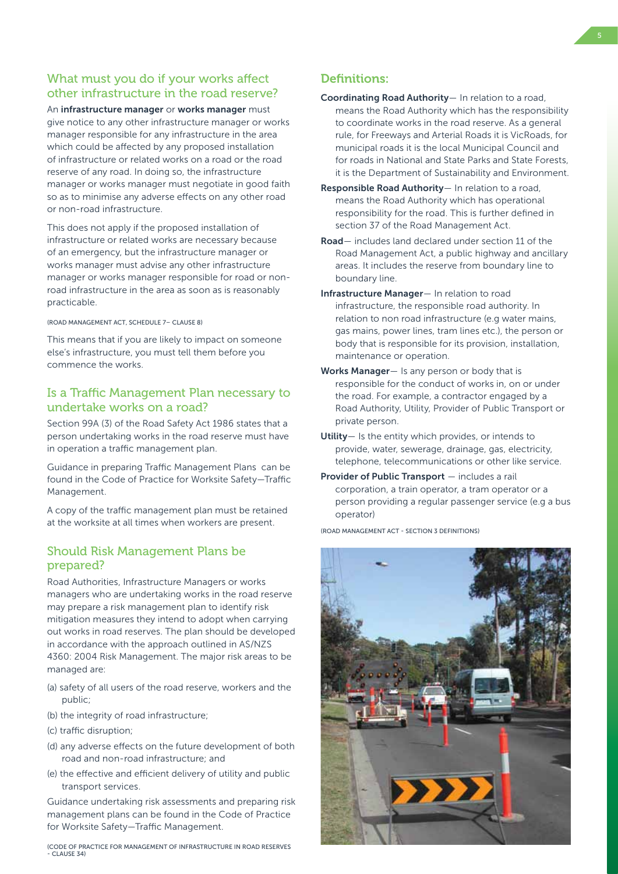### What must you do if your works affect other infrastructure in the road reserve?

An infrastructure manager or works manager must give notice to any other infrastructure manager or works manager responsible for any infrastructure in the area which could be affected by any proposed installation of infrastructure or related works on a road or the road reserve of any road. In doing so, the infrastructure manager or works manager must negotiate in good faith so as to minimise any adverse effects on any other road or non-road infrastructure.

This does not apply if the proposed installation of infrastructure or related works are necessary because of an emergency, but the infrastructure manager or works manager must advise any other infrastructure manager or works manager responsible for road or nonroad infrastructure in the area as soon as is reasonably practicable.

(Road Management Act, Schedule 7– Clause 8)

This means that if you are likely to impact on someone else's infrastructure, you must tell them before you commence the works.

### Is a Traffic Management Plan necessary to undertake works on a road?

Section 99A (3) of the Road Safety Act 1986 states that a person undertaking works in the road reserve must have in operation a traffic management plan.

Guidance in preparing Traffic Management Plans can be found in the Code of Practice for Worksite Safety—Traffic Management.

A copy of the traffic management plan must be retained at the worksite at all times when workers are present.

### Should Risk Management Plans be prepared?

Road Authorities, Infrastructure Managers or works managers who are undertaking works in the road reserve may prepare a risk management plan to identify risk mitigation measures they intend to adopt when carrying out works in road reserves. The plan should be developed in accordance with the approach outlined in AS/NZS 4360: 2004 Risk Management. The major risk areas to be managed are:

- (a) safety of all users of the road reserve, workers and the public;
- (b) the integrity of road infrastructure;
- (c) traffic disruption;
- (d) any adverse effects on the future development of both road and non-road infrastructure; and
- (e) the effective and efficient delivery of utility and public transport services.

Guidance undertaking risk assessments and preparing risk management plans can be found in the Code of Practice for Worksite Safety—Traffic Management.

(Code of Practice for Management of Infrastructure in Road Reserves - Clause 34)

### Definitions:

- Coordinating Road Authority— In relation to a road, means the Road Authority which has the responsibility to coordinate works in the road reserve. As a general rule, for Freeways and Arterial Roads it is VicRoads, for municipal roads it is the local Municipal Council and for roads in National and State Parks and State Forests, it is the Department of Sustainability and Environment.
- Responsible Road Authority- In relation to a road, means the Road Authority which has operational responsibility for the road. This is further defined in section 37 of the Road Management Act.
- Road— includes land declared under section 11 of the Road Management Act, a public highway and ancillary areas. It includes the reserve from boundary line to boundary line.
- Infrastructure Manager— In relation to road infrastructure, the responsible road authority. In relation to non road infrastructure (e.g water mains, gas mains, power lines, tram lines etc.), the person or body that is responsible for its provision, installation, maintenance or operation.
- Works Manager— Is any person or body that is responsible for the conduct of works in, on or under the road. For example, a contractor engaged by a Road Authority, Utility, Provider of Public Transport or private person.
- Utility- Is the entity which provides, or intends to provide, water, sewerage, drainage, gas, electricity, telephone, telecommunications or other like service.
- Provider of Public Transport includes a rail corporation, a train operator, a tram operator or a person providing a regular passenger service (e.g a bus operator)

(Road Management Act - Section 3 Definitions)

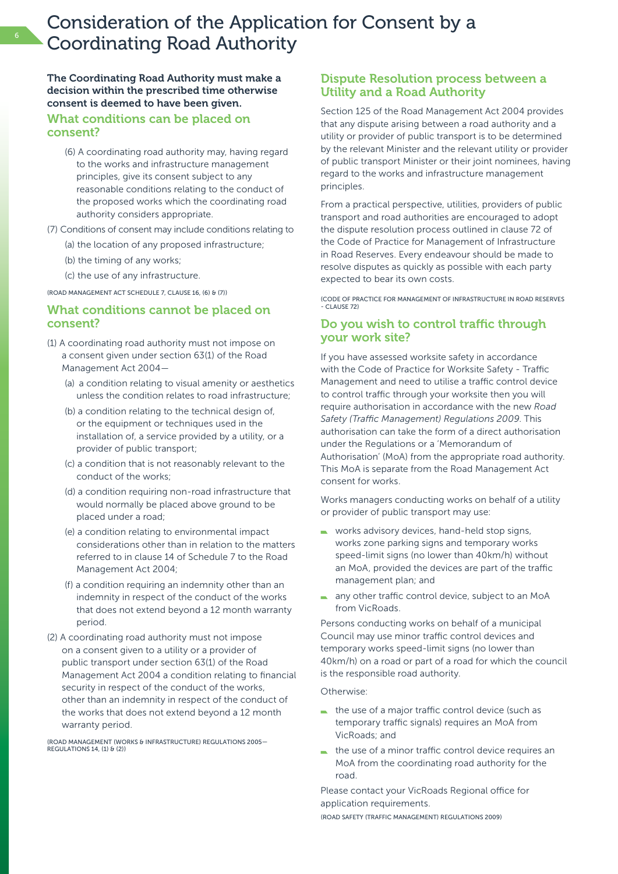### Consideration of the Application for Consent by a Coordinating Road Authority

The Coordinating Road Authority must make a decision within the prescribed time otherwise consent is deemed to have been given.

### What conditions can be placed on consent?

- (6) A coordinating road authority may, having regard to the works and infrastructure management principles, give its consent subject to any reasonable conditions relating to the conduct of the proposed works which the coordinating road authority considers appropriate.
- (7) Conditions of consent may include conditions relating to
	- (a) the location of any proposed infrastructure;
	- (b) the timing of any works;
	- (c) the use of any infrastructure.

(Road Management Act Schedule 7, Clause 16, (6) & (7))

### What conditions cannot be placed on consent?

- (1) A coordinating road authority must not impose on a consent given under section 63(1) of the Road Management Act 2004—
	- (a) a condition relating to visual amenity or aesthetics unless the condition relates to road infrastructure;
	- (b) a condition relating to the technical design of, or the equipment or techniques used in the installation of, a service provided by a utility, or a provider of public transport;
	- (c) a condition that is not reasonably relevant to the conduct of the works;
	- (d) a condition requiring non-road infrastructure that would normally be placed above ground to be placed under a road;
	- (e) a condition relating to environmental impact considerations other than in relation to the matters referred to in clause 14 of Schedule 7 to the Road Management Act 2004;
	- (f) a condition requiring an indemnity other than an indemnity in respect of the conduct of the works that does not extend beyond a 12 month warranty period.
- (2) A coordinating road authority must not impose on a consent given to a utility or a provider of public transport under section 63(1) of the Road Management Act 2004 a condition relating to financial security in respect of the conduct of the works, other than an indemnity in respect of the conduct of the works that does not extend beyond a 12 month warranty period.

(Road Management (Works & Infrastructure) Regulations 2005— Regulations 14, (1) & (2))

### Dispute Resolution process between a Utility and a Road Authority

Section 125 of the Road Management Act 2004 provides that any dispute arising between a road authority and a utility or provider of public transport is to be determined by the relevant Minister and the relevant utility or provider of public transport Minister or their joint nominees, having regard to the works and infrastructure management principles.

From a practical perspective, utilities, providers of public transport and road authorities are encouraged to adopt the dispute resolution process outlined in clause 72 of the Code of Practice for Management of Infrastructure in Road Reserves. Every endeavour should be made to resolve disputes as quickly as possible with each party expected to bear its own costs.

(Code of Practice for Management of Infrastructure in Road Reserves - Clause 72)

### Do you wish to control traffic through your work site?

If you have assessed worksite safety in accordance with the Code of Practice for Worksite Safety - Traffic Management and need to utilise a traffic control device to control traffic through your worksite then you will require authorisation in accordance with the new *Road Safety (Traffic Management) Regulations 2009*. This authorisation can take the form of a direct authorisation under the Regulations or a 'Memorandum of Authorisation' (MoA) from the appropriate road authority. This MoA is separate from the Road Management Act consent for works.

Works managers conducting works on behalf of a utility or provider of public transport may use:

- works advisory devices, hand-held stop signs, works zone parking signs and temporary works speed-limit signs (no lower than 40km/h) without an MoA, provided the devices are part of the traffic management plan; and
- any other traffic control device, subject to an MoA from VicRoads.

Persons conducting works on behalf of a municipal Council may use minor traffic control devices and temporary works speed-limit signs (no lower than 40km/h) on a road or part of a road for which the council is the responsible road authority.

#### Otherwise<sup>.</sup>

- $\blacksquare$  the use of a major traffic control device (such as temporary traffic signals) requires an MoA from VicRoads; and
- the use of a minor traffic control device requires an MoA from the coordinating road authority for the road.

Please contact your VicRoads Regional office for application requirements.

(Road Safety (Traffic Management) Regulations 2009)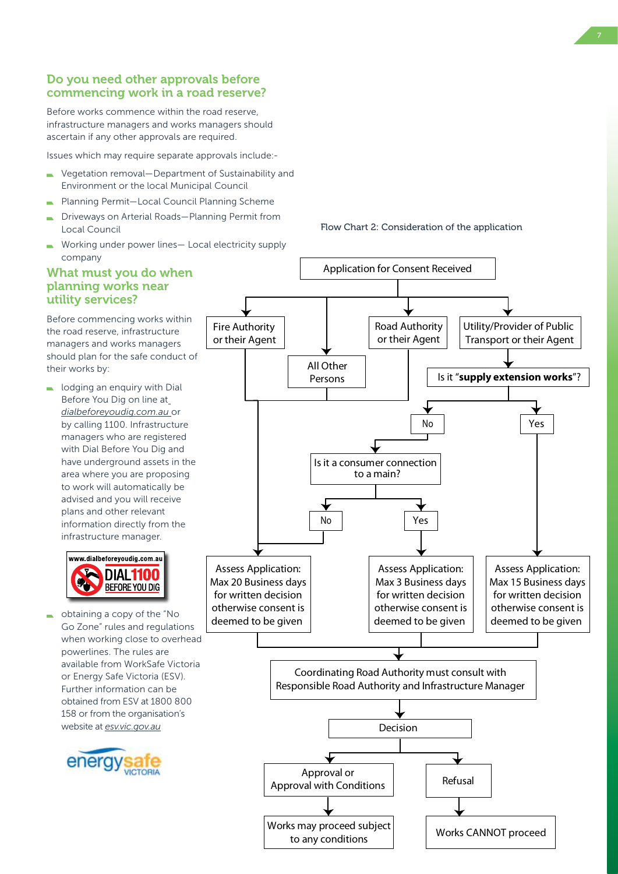### Do you need other approvals before commencing work in a road reserve?

Before works commence within the road reserve, infrastructure managers and works managers should ascertain if any other approvals are required.

Issues which may require separate approvals include:-

- Vegetation removal—Department of Sustainability and Environment or the local Municipal Council
- Planning Permit—Local Council Planning Scheme
- Driveways on Arterial Roads—Planning Permit from Local Council
- Working under power lines— Local electricity supply company

### What must you do when planning works near utility services?

Before commencing works within the road reserve, infrastructure managers and works managers should plan for the safe conduct of their works by:

 $\Box$  lodging an enquiry with Dial Before You Dig on line at *dialbeforeyoudig.com.au* or by calling 1100. Infrastructure managers who are registered with Dial Before You Dig and have underground assets in the area where you are proposing to work will automatically be advised and you will receive plans and other relevant information directly from the infrastructure manager.



obtaining a copy of the "No Go Zone" rules and regulations when working close to overhead powerlines. The rules are available from WorkSafe Victoria or Energy Safe Victoria (ESV). Further information can be obtained from ESV at 1800 800 158 or from the organisation's website at *esv.vic.gov.au*





Flow Chart 2: Consideration of the application

Application for Consent Received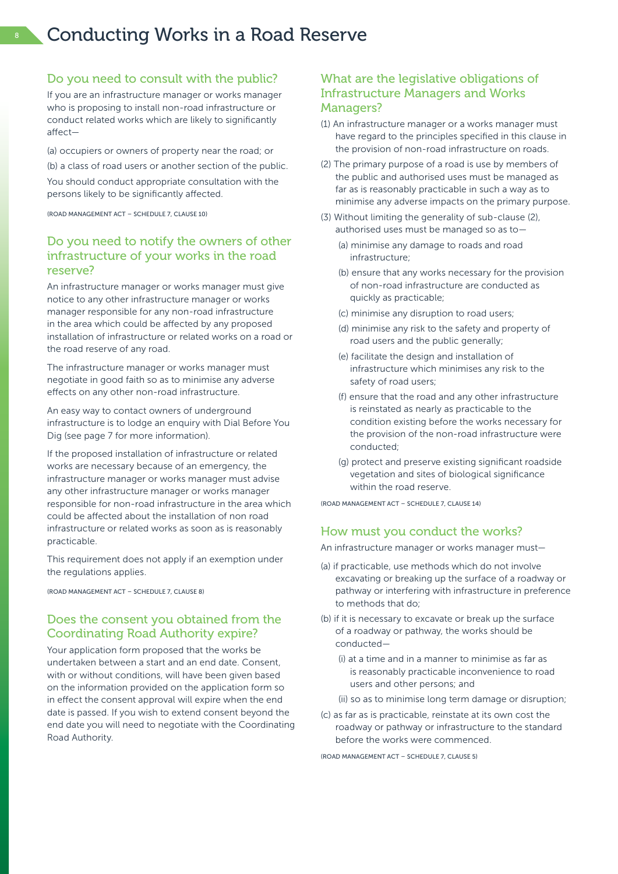### 8 Conducting Works in a Road Reserve

#### Do you need to consult with the public?

If you are an infrastructure manager or works manager who is proposing to install non-road infrastructure or conduct related works which are likely to significantly affect—

(a) occupiers or owners of property near the road; or (b) a class of road users or another section of the public. You should conduct appropriate consultation with the persons likely to be significantly affected.

(Road Management Act – Schedule 7, Clause 10)

### Do you need to notify the owners of other infrastructure of your works in the road reserve?

An infrastructure manager or works manager must give notice to any other infrastructure manager or works manager responsible for any non-road infrastructure in the area which could be affected by any proposed installation of infrastructure or related works on a road or the road reserve of any road.

The infrastructure manager or works manager must negotiate in good faith so as to minimise any adverse effects on any other non-road infrastructure.

An easy way to contact owners of underground infrastructure is to lodge an enquiry with Dial Before You Dig (see page 7 for more information).

If the proposed installation of infrastructure or related works are necessary because of an emergency, the infrastructure manager or works manager must advise any other infrastructure manager or works manager responsible for non-road infrastructure in the area which could be affected about the installation of non road infrastructure or related works as soon as is reasonably practicable.

This requirement does not apply if an exemption under the regulations applies.

(Road Management Act – Schedule 7, Clause 8)

### Does the consent you obtained from the Coordinating Road Authority expire?

Your application form proposed that the works be undertaken between a start and an end date. Consent, with or without conditions, will have been given based on the information provided on the application form so in effect the consent approval will expire when the end date is passed. If you wish to extend consent beyond the end date you will need to negotiate with the Coordinating Road Authority.

### What are the legislative obligations of Infrastructure Managers and Works Managers?

- (1) An infrastructure manager or a works manager must have regard to the principles specified in this clause in the provision of non-road infrastructure on roads.
- (2) The primary purpose of a road is use by members of the public and authorised uses must be managed as far as is reasonably practicable in such a way as to minimise any adverse impacts on the primary purpose.
- (3) Without limiting the generality of sub-clause (2), authorised uses must be managed so as to—
	- (a) minimise any damage to roads and road infrastructure;
	- (b) ensure that any works necessary for the provision of non-road infrastructure are conducted as quickly as practicable;
	- (c) minimise any disruption to road users;
	- (d) minimise any risk to the safety and property of road users and the public generally;
	- (e) facilitate the design and installation of infrastructure which minimises any risk to the safety of road users;
	- (f) ensure that the road and any other infrastructure is reinstated as nearly as practicable to the condition existing before the works necessary for the provision of the non-road infrastructure were conducted;
	- (g) protect and preserve existing significant roadside vegetation and sites of biological significance within the road reserve.

(Road Management Act – Schedule 7, Clause 14)

### How must you conduct the works?

An infrastructure manager or works manager must—

- (a) if practicable, use methods which do not involve excavating or breaking up the surface of a roadway or pathway or interfering with infrastructure in preference to methods that do;
- (b) if it is necessary to excavate or break up the surface of a roadway or pathway, the works should be conducted—
	- (i) at a time and in a manner to minimise as far as is reasonably practicable inconvenience to road users and other persons; and
	- (ii) so as to minimise long term damage or disruption;
- (c) as far as is practicable, reinstate at its own cost the roadway or pathway or infrastructure to the standard before the works were commenced.

(Road Management Act – Schedule 7, Clause 5)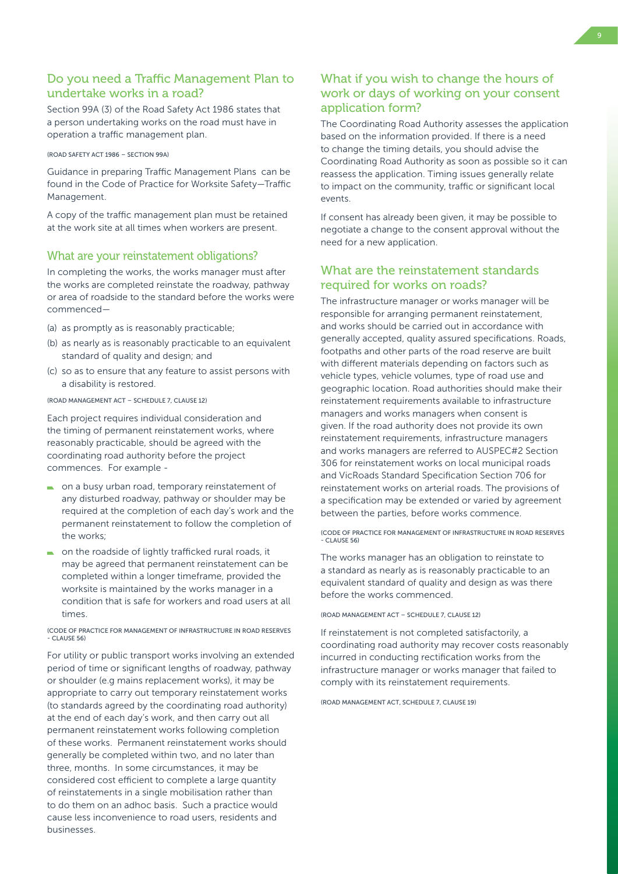### Do you need a Traffic Management Plan to undertake works in a road?

Section 99A (3) of the Road Safety Act 1986 states that a person undertaking works on the road must have in operation a traffic management plan.

(Road Safety Act 1986 – Section 99A)

Guidance in preparing Traffic Management Plans can be found in the Code of Practice for Worksite Safety—Traffic Management.

A copy of the traffic management plan must be retained at the work site at all times when workers are present.

### What are your reinstatement obligations?

In completing the works, the works manager must after the works are completed reinstate the roadway, pathway or area of roadside to the standard before the works were commenced—

- (a) as promptly as is reasonably practicable;
- (b) as nearly as is reasonably practicable to an equivalent standard of quality and design; and
- (c) so as to ensure that any feature to assist persons with a disability is restored.

#### (Road Management Act – Schedule 7, Clause 12)

Each project requires individual consideration and the timing of permanent reinstatement works, where reasonably practicable, should be agreed with the coordinating road authority before the project commences. For example -

- on a busy urban road, temporary reinstatement of any disturbed roadway, pathway or shoulder may be required at the completion of each day's work and the permanent reinstatement to follow the completion of the works;
- on the roadside of lightly trafficked rural roads, it may be agreed that permanent reinstatement can be completed within a longer timeframe, provided the worksite is maintained by the works manager in a condition that is safe for workers and road users at all times.

#### (Code of Practice for Management of Infrastructure in Road Reserves CLAUSE 56

For utility or public transport works involving an extended period of time or significant lengths of roadway, pathway or shoulder (e.g mains replacement works), it may be appropriate to carry out temporary reinstatement works (to standards agreed by the coordinating road authority) at the end of each day's work, and then carry out all permanent reinstatement works following completion of these works. Permanent reinstatement works should generally be completed within two, and no later than three, months. In some circumstances, it may be considered cost efficient to complete a large quantity of reinstatements in a single mobilisation rather than to do them on an adhoc basis. Such a practice would cause less inconvenience to road users, residents and businesses.

### What if you wish to change the hours of work or days of working on your consent application form?

The Coordinating Road Authority assesses the application based on the information provided. If there is a need to change the timing details, you should advise the Coordinating Road Authority as soon as possible so it can reassess the application. Timing issues generally relate to impact on the community, traffic or significant local events.

If consent has already been given, it may be possible to negotiate a change to the consent approval without the need for a new application.

### What are the reinstatement standards required for works on roads?

The infrastructure manager or works manager will be responsible for arranging permanent reinstatement, and works should be carried out in accordance with generally accepted, quality assured specifications. Roads, footpaths and other parts of the road reserve are built with different materials depending on factors such as vehicle types, vehicle volumes, type of road use and geographic location. Road authorities should make their reinstatement requirements available to infrastructure managers and works managers when consent is given. If the road authority does not provide its own reinstatement requirements, infrastructure managers and works managers are referred to AUSPEC#2 Section 306 for reinstatement works on local municipal roads and VicRoads Standard Specification Section 706 for reinstatement works on arterial roads. The provisions of a specification may be extended or varied by agreement between the parties, before works commence.

(Code of Practice for Management of Infrastructure in Road Reserves - Clause 56)

The works manager has an obligation to reinstate to a standard as nearly as is reasonably practicable to an equivalent standard of quality and design as was there before the works commenced.

(Road Management Act – Schedule 7, Clause 12)

If reinstatement is not completed satisfactorily, a coordinating road authority may recover costs reasonably incurred in conducting rectification works from the infrastructure manager or works manager that failed to comply with its reinstatement requirements.

(Road Management Act, Schedule 7, Clause 19)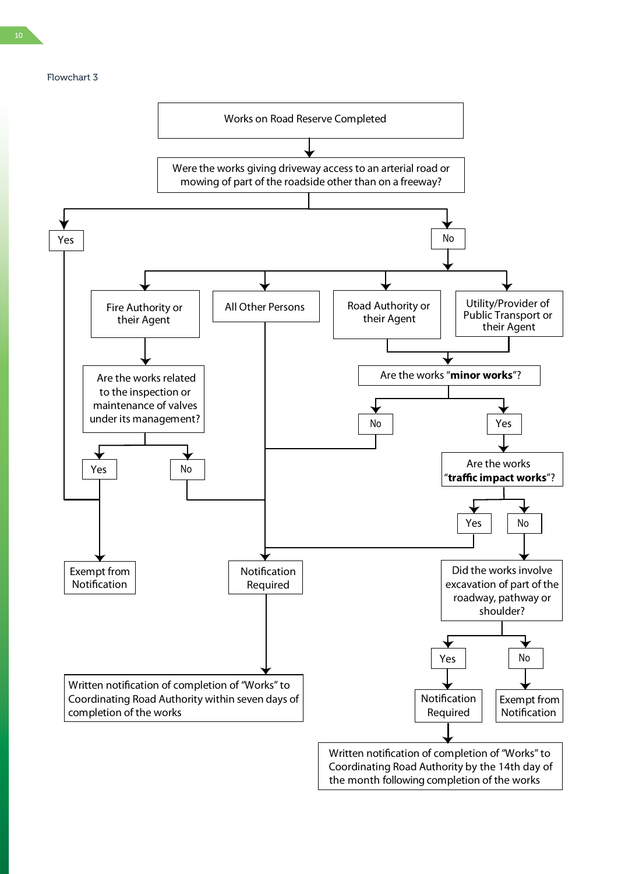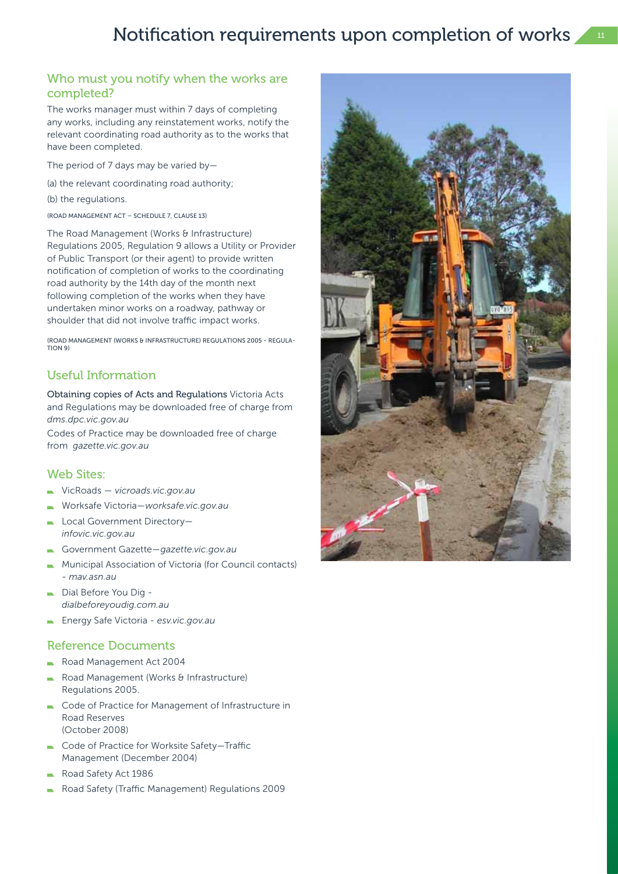### Notification requirements upon completion of works

### Who must you notify when the works are completed?

The works manager must within 7 days of completing any works, including any reinstatement works, notify the relevant coordinating road authority as to the works that have been completed.

- The period of 7 days may be varied by—
- (a) the relevant coordinating road authority;
- (b) the regulations.
- (Road Management Act Schedule 7, Clause 13)

The Road Management (Works & Infrastructure) Regulations 2005, Regulation 9 allows a Utility or Provider of Public Transport (or their agent) to provide written notification of completion of works to the coordinating road authority by the 14th day of the month next following completion of the works when they have undertaken minor works on a roadway, pathway or shoulder that did not involve traffic impact works.

(Road Management (Works & Infrastructure) Regulations 2005 - Regulation 9)

### Useful Information

Obtaining copies of Acts and Regulations Victoria Acts and Regulations may be downloaded free of charge from *dms.dpc.vic.gov.au*

Codes of Practice may be downloaded free of charge from *gazette.vic.gov.au*

### Web Sites:

- VicRoads *vicroads.vic.gov.au*
- Worksafe Victoria—*worksafe.vic.gov.au*
- Local Government Directory *infovic.vic.gov.au*
- Government Gazette—*gazette.vic.gov.au*
- Municipal Association of Victoria (for Council contacts) - *mav.asn.au*
- Dial Before You Dig *dialbeforeyoudig.com.au*
- Energy Safe Victoria *esv.vic.gov.au*

### Reference Documents

- Road Management Act 2004
- Road Management (Works & Infrastructure) Regulations 2005.
- Code of Practice for Management of Infrastructure in Road Reserves (October 2008)
- Code of Practice for Worksite Safety—Traffic Management (December 2004)
- Road Safety Act 1986
- Road Safety (Traffic Management) Regulations 2009